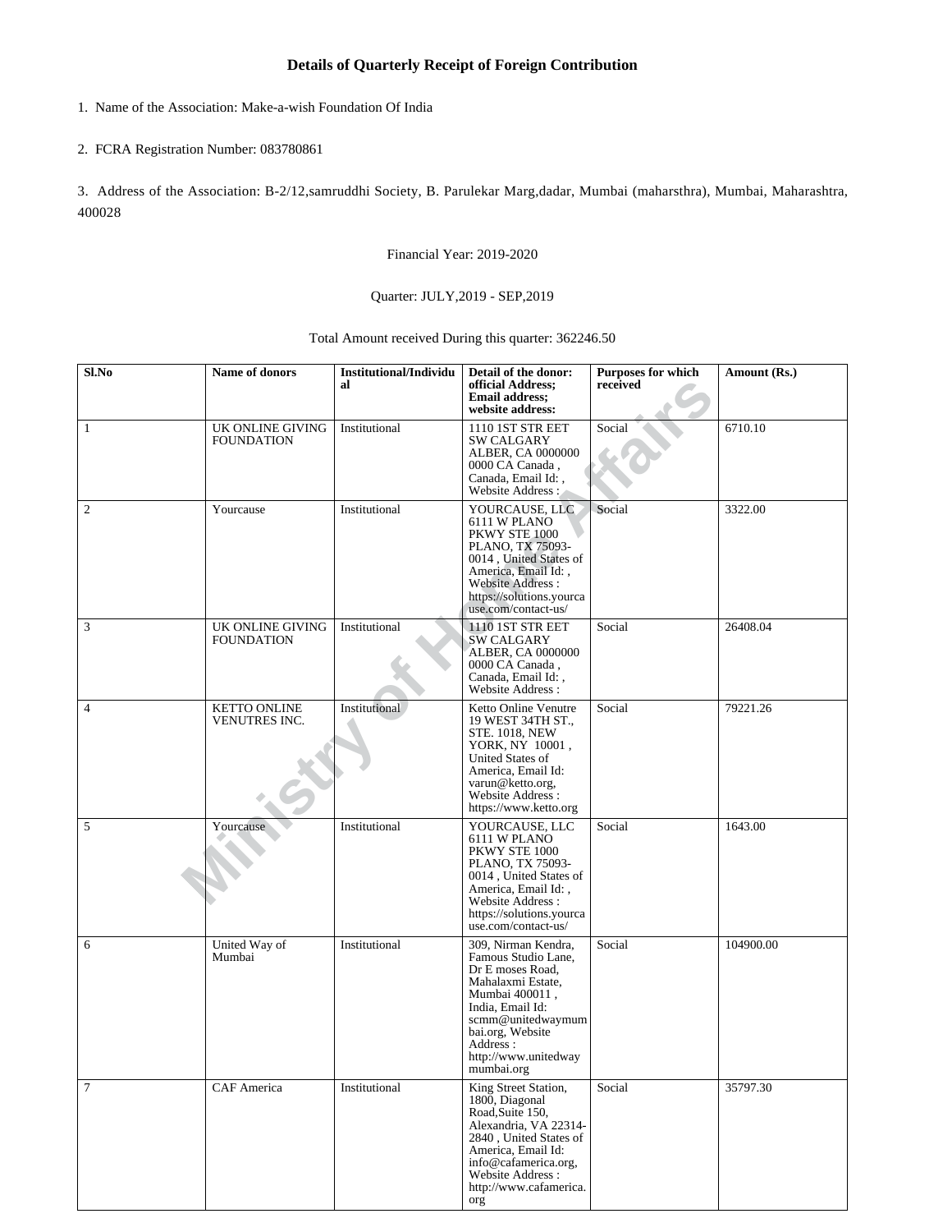# **Details of Quarterly Receipt of Foreign Contribution**

#### 1. Name of the Association: Make-a-wish Foundation Of India

### 2. FCRA Registration Number: 083780861

3. Address of the Association: B-2/12,samruddhi Society, B. Parulekar Marg,dadar, Mumbai (maharsthra), Mumbai, Maharashtra, 400028

Financial Year: 2019-2020

### Quarter: JULY,2019 - SEP,2019

# Total Amount received During this quarter: 362246.50

| Sl.No          | Name of donors                        | <b>Institutional/Individu</b><br>al | Detail of the donor:<br>official Address;<br><b>Email address:</b><br>website address:                                                                                                                                        | Purposes for which<br>received | Amount (Rs.) |
|----------------|---------------------------------------|-------------------------------------|-------------------------------------------------------------------------------------------------------------------------------------------------------------------------------------------------------------------------------|--------------------------------|--------------|
| 1              | UK ONLINE GIVING<br><b>FOUNDATION</b> | Institutional                       | 1110 1ST STR EET<br><b>SW CALGARY</b><br>ALBER, CA 0000000<br>0000 CA Canada,<br>Canada, Email Id:,<br>Website Address :                                                                                                      | Social                         | 6710.10      |
| $\mathfrak{2}$ | Yourcause                             | Institutional                       | YOURCAUSE, LLC<br>6111 W PLANO<br>PKWY STE 1000<br>PLANO, TX 75093-<br>0014, United States of<br>America, Email Id:,<br>Website Address:<br>https://solutions.yourca<br>use.com/contact-us/                                   | Social                         | 3322.00      |
| 3              | UK ONLINE GIVING<br><b>FOUNDATION</b> | Institutional                       | 1110 1ST STR EET<br>SW CALGARY<br>ALBER, CA 0000000<br>0000 CA Canada,<br>Canada, Email Id:,<br>Website Address:                                                                                                              | Social                         | 26408.04     |
| $\overline{4}$ | <b>KETTO ONLINE</b><br>VENUTRES INC.  | Institutional                       | Ketto Online Venutre<br>19 WEST 34TH ST.,<br><b>STE. 1018, NEW</b><br>YORK, NY 10001,<br><b>United States of</b><br>America, Email Id:<br>varun@ketto.org,<br>Website Address:<br>https://www.ketto.org                       | Social                         | 79221.26     |
| 5              | Yourcause                             | Institutional                       | YOURCAUSE, LLC<br>6111 W PLANO<br>PKWY STE 1000<br>PLANO, TX 75093-<br>0014, United States of<br>America, Email Id:,<br>Website Address:<br>https://solutions.yourca<br>use.com/contact-us/                                   | Social                         | 1643.00      |
| 6              | United Way of<br>Mumbai               | Institutional                       | 309, Nirman Kendra,<br>Famous Studio Lane,<br>Dr E moses Road.<br>Mahalaxmi Estate,<br>Mumbai 400011,<br>India, Email Id:<br>scmm@unitedwaymum<br>bai.org, Website<br>Address:<br>$\text{http://www.unitedway}$<br>mumbai.org | Social                         | 104900.00    |
| 7              | CAF America                           | Institutional                       | King Street Station,<br>1800, Diagonal<br>Road, Suite 150,<br>Alexandria, VA 22314-<br>2840, United States of<br>America, Email Id:<br>info@cafamerica.org,<br>Website Address:<br>http://www.cafamerica.<br>org              | Social                         | 35797.30     |